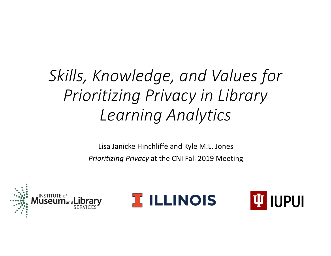# *Skills, Knowledge, and Values for Prioritizing Privacy in Library Learning Analytics*

Lisa Janicke Hinchliffe and Kyle M.L. Jones *Prioritizing Privacy* at the CNI Fall 2019 Meeting





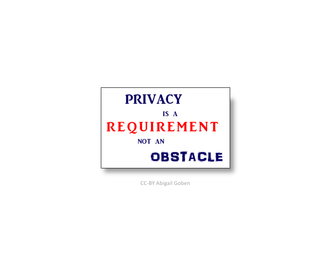

CC-BY Abigail Goben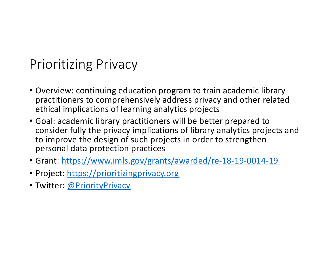## Prioritizing Privacy

- Overview: continuing education program to train academic library practitioners to comprehensively address privacy and other related ethical implications of learning analytics projects
- Goal: academic library practitioners will be better prepared to consider fully the privacy implications of library analytics projects and to improve the design of such projects in order to strengthen personal data protection practices
- Gran[t: https://www.imls.gov/grants/awarded/re-18-19-0014-19](https://www.imls.gov/grants/awarded/re-18-19-0014-19)
- Projec[t: https://prioritizingprivacy.org](https://prioritizingprivacy.org/)
- Twitter[: @PriorityPrivacy](https://twitter.com/priorityprivacy)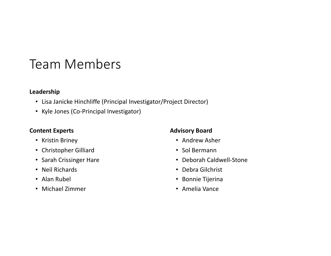## Team Members

#### **Leadership**

- Lisa Janicke Hinchliffe (Principal Investigator/Project Director)
- Kyle Jones (Co-Principal Investigator)

#### **Content Experts**

- Kristin Briney
- Christopher Gilliard
- Sarah Crissinger Hare
- Neil Richards
- Alan Rubel
- Michael Zimmer

#### **Advisory Board**

- Andrew Asher
- Sol Bermann
- Deborah Caldwell-Stone
- Debra Gilchrist
- Bonnie Tijerina
- Amelia Vance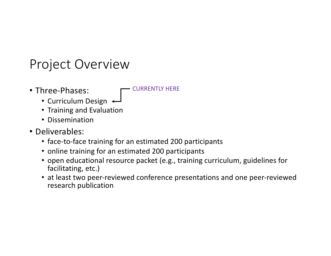### Project Overview

• Three-Phases:

CURRENTLY HERE

- Curriculum Design +
- Training and Evaluation
- Dissemination
- Deliverables:
	- face-to-face training for an estimated 200 participants
	- online training for an estimated 200 participants
	- open educational resource packet (e.g., training curriculum, guidelines for facilitating, etc.)
	- at least two peer-reviewed conference presentations and one peer-reviewed research publication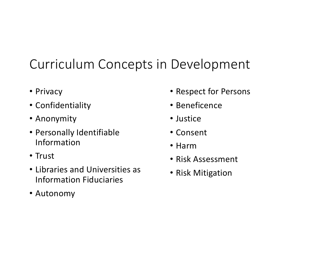## Curriculum Concepts in Development

- Privacy
- Confidentiality
- Anonymity
- Personally Identifiable Information
- Trust
- Libraries and Universities as Information Fiduciaries
- Autonomy
- Respect for Persons
- Beneficence
- Justice
- Consent
- Harm
- Risk Assessment
- Risk Mitigation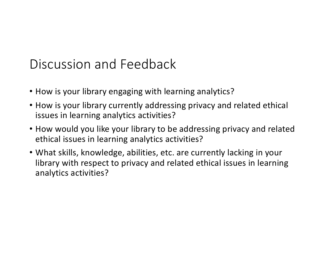## Discussion and Feedback

- How is your library engaging with learning analytics?
- How is your library currently addressing privacy and related ethical issues in learning analytics activities?
- How would you like your library to be addressing privacy and related ethical issues in learning analytics activities?
- What skills, knowledge, abilities, etc. are currently lacking in your library with respect to privacy and related ethical issues in learning analytics activities?